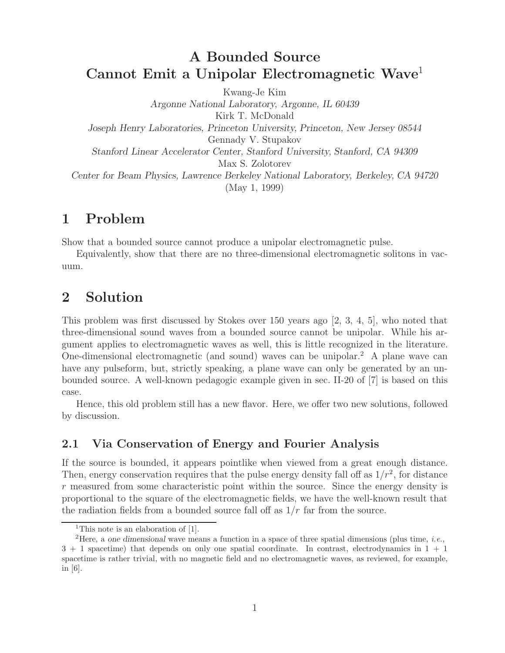## **A Bounded Source Cannot Emit a Unipolar Electromagnetic Wave**<sup>1</sup>

Kwang-Je Kim *Argonne National Laboratory, Argonne, IL 60439* Kirk T. McDonald *Joseph Henry Laboratories, Princeton University, Princeton, New Jersey 08544* Gennady V. Stupakov *Stanford Linear Accelerator Center, Stanford University, Stanford, CA 94309* Max S. Zolotorev *Center for Beam Physics, Lawrence Berkeley National Laboratory, Berkeley, CA 94720* (May 1, 1999)

## **1 Problem**

Show that a bounded source cannot produce a unipolar electromagnetic pulse.

Equivalently, show that there are no three-dimensional electromagnetic solitons in vacuum.

# **2 Solution**

This problem was first discussed by Stokes over 150 years ago [2, 3, 4, 5], who noted that three-dimensional sound waves from a bounded source cannot be unipolar. While his argument applies to electromagnetic waves as well, this is little recognized in the literature. One-dimensional electromagnetic (and sound) waves can be unipolar.<sup>2</sup> A plane wave can have any pulseform, but, strictly speaking, a plane wave can only be generated by an unbounded source. A well-known pedagogic example given in sec. II-20 of [7] is based on this case.

Hence, this old problem still has a new flavor. Here, we offer two new solutions, followed by discussion.

### **2.1 Via Conservation of Energy and Fourier Analysis**

If the source is bounded, it appears pointlike when viewed from a great enough distance. Then, energy conservation requires that the pulse energy density fall off as  $1/r^2$ , for distance r measured from some characteristic point within the source. Since the energy density is proportional to the square of the electromagnetic fields, we have the well-known result that the radiation fields from a bounded source fall off as  $1/r$  far from the source.

<sup>&</sup>lt;sup>1</sup>This note is an elaboration of [1].

<sup>2</sup>Here, a *one dimensional* wave means a function in a space of three spatial dimensions (plus time, *i.e.*,  $3 + 1$  spacetime) that depends on only one spatial coordinate. In contrast, electrodynamics in  $1 + 1$ spacetime is rather trivial, with no magnetic field and no electromagnetic waves, as reviewed, for example, in  $[6]$ .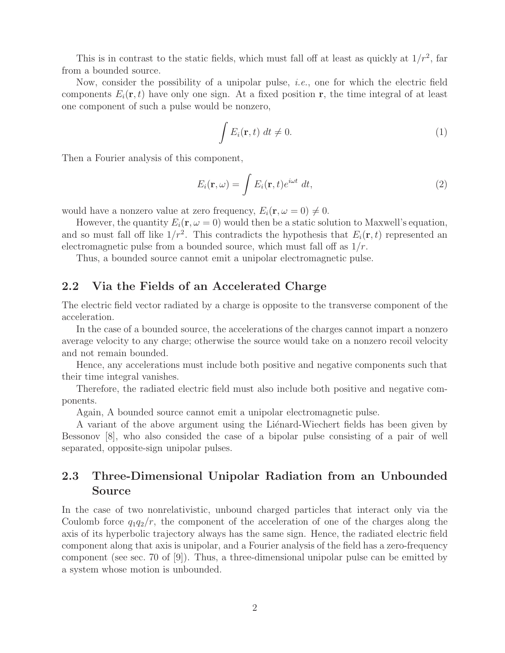This is in contrast to the static fields, which must fall off at least as quickly at  $1/r^2$ , far from a bounded source.

Now, consider the possibility of a unipolar pulse, *i.e.*, one for which the electric field components  $E_i(\mathbf{r}, t)$  have only one sign. At a fixed position **r**, the time integral of at least one component of such a pulse would be nonzero,

$$
\int E_i(\mathbf{r},t) \, dt \neq 0. \tag{1}
$$

Then a Fourier analysis of this component,

$$
E_i(\mathbf{r}, \omega) = \int E_i(\mathbf{r}, t) e^{i\omega t} dt,
$$
\n(2)

would have a nonzero value at zero frequency,  $E_i(\mathbf{r}, \omega = 0) \neq 0$ .

However, the quantity  $E_i(\mathbf{r}, \omega = 0)$  would then be a static solution to Maxwell's equation, and so must fall off like  $1/r^2$ . This contradicts the hypothesis that  $E_i(\mathbf{r}, t)$  represented an electromagnetic pulse from a bounded source, which must fall off as  $1/r$ .

Thus, a bounded source cannot emit a unipolar electromagnetic pulse.

#### **2.2 Via the Fields of an Accelerated Charge**

The electric field vector radiated by a charge is opposite to the transverse component of the acceleration.

In the case of a bounded source, the accelerations of the charges cannot impart a nonzero average velocity to any charge; otherwise the source would take on a nonzero recoil velocity and not remain bounded.

Hence, any accelerations must include both positive and negative components such that their time integral vanishes.

Therefore, the radiated electric field must also include both positive and negative components.

Again, A bounded source cannot emit a unipolar electromagnetic pulse.

A variant of the above argument using the Lienard-Wiechert fields has been given by Bessonov [8], who also consided the case of a bipolar pulse consisting of a pair of well separated, opposite-sign unipolar pulses.

### **2.3 Three-Dimensional Unipolar Radiation from an Unbounded Source**

In the case of two nonrelativistic, unbound charged particles that interact only via the Coulomb force  $q_1q_2/r$ , the component of the acceleration of one of the charges along the axis of its hyperbolic trajectory always has the same sign. Hence, the radiated electric field component along that axis is unipolar, and a Fourier analysis of the field has a zero-frequency component (see sec. 70 of [9]). Thus, a three-dimensional unipolar pulse can be emitted by a system whose motion is unbounded.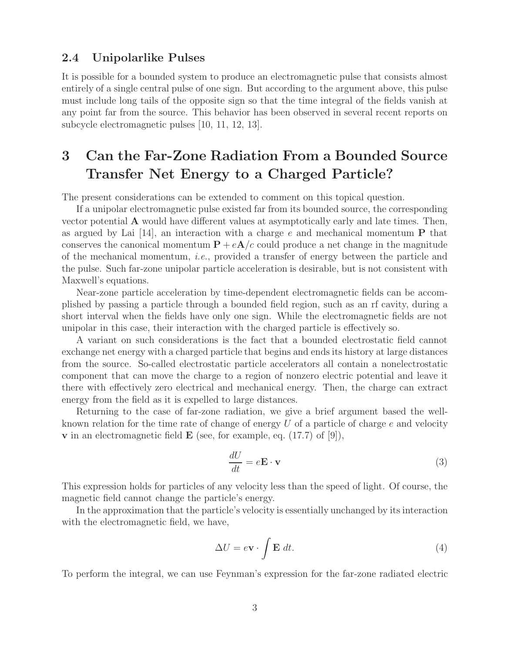#### **2.4 Unipolarlike Pulses**

It is possible for a bounded system to produce an electromagnetic pulse that consists almost entirely of a single central pulse of one sign. But according to the argument above, this pulse must include long tails of the opposite sign so that the time integral of the fields vanish at any point far from the source. This behavior has been observed in several recent reports on subcycle electromagnetic pulses [10, 11, 12, 13].

# **3 Can the Far-Zone Radiation From a Bounded Source Transfer Net Energy to a Charged Particle?**

The present considerations can be extended to comment on this topical question.

If a unipolar electromagnetic pulse existed far from its bounded source, the corresponding vector potential **A** would have different values at asymptotically early and late times. Then, as argued by Lai [14], an interaction with a charge e and mechanical momentum **P** that conserves the canonical momentum  $P + eA/c$  could produce a net change in the magnitude of the mechanical momentum, *i.e.*, provided a transfer of energy between the particle and the pulse. Such far-zone unipolar particle acceleration is desirable, but is not consistent with Maxwell's equations.

Near-zone particle acceleration by time-dependent electromagnetic fields can be accomplished by passing a particle through a bounded field region, such as an rf cavity, during a short interval when the fields have only one sign. While the electromagnetic fields are not unipolar in this case, their interaction with the charged particle is effectively so.

A variant on such considerations is the fact that a bounded electrostatic field cannot exchange net energy with a charged particle that begins and ends its history at large distances from the source. So-called electrostatic particle accelerators all contain a nonelectrostatic component that can move the charge to a region of nonzero electric potential and leave it there with effectively zero electrical and mechanical energy. Then, the charge can extract energy from the field as it is expelled to large distances.

Returning to the case of far-zone radiation, we give a brief argument based the wellknown relation for the time rate of change of energy  $U$  of a particle of charge  $e$  and velocity **v** in an electromagnetic field **E** (see, for example, eq. (17.7) of [9]),

$$
\frac{dU}{dt} = e\mathbf{E} \cdot \mathbf{v} \tag{3}
$$

This expression holds for particles of any velocity less than the speed of light. Of course, the magnetic field cannot change the particle's energy.

In the approximation that the particle's velocity is essentially unchanged by its interaction with the electromagnetic field, we have,

$$
\Delta U = e \mathbf{v} \cdot \int \mathbf{E} dt.
$$
 (4)

To perform the integral, we can use Feynman's expression for the far-zone radiated electric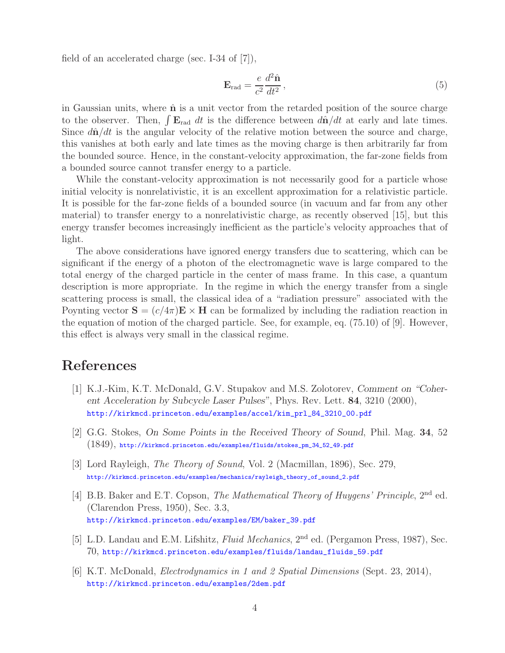field of an accelerated charge (sec. I-34 of [7]),

$$
\mathbf{E}_{\rm rad} = \frac{e}{c^2} \frac{d^2 \hat{\mathbf{n}}}{dt^2},\tag{5}
$$

in Gaussian units, where  $\hat{\mathbf{n}}$  is a unit vector from the retarded position of the source charge to the observer. Then,  $\int \mathbf{E}_{rad} dt$  is the difference between  $d\hat{\mathbf{n}}/dt$  at early and late times. Since  $d\hat{\mathbf{n}}/dt$  is the angular velocity of the relative motion between the source and charge, this vanishes at both early and late times as the moving charge is then arbitrarily far from the bounded source. Hence, in the constant-velocity approximation, the far-zone fields from a bounded source cannot transfer energy to a particle.

While the constant-velocity approximation is not necessarily good for a particle whose initial velocity is nonrelativistic, it is an excellent approximation for a relativistic particle. It is possible for the far-zone fields of a bounded source (in vacuum and far from any other material) to transfer energy to a nonrelativistic charge, as recently observed [15], but this energy transfer becomes increasingly inefficient as the particle's velocity approaches that of light.

The above considerations have ignored energy transfers due to scattering, which can be significant if the energy of a photon of the electromagnetic wave is large compared to the total energy of the charged particle in the center of mass frame. In this case, a quantum description is more appropriate. In the regime in which the energy transfer from a single scattering process is small, the classical idea of a "radiation pressure" associated with the Poynting vector  $S = (c/4\pi)E \times H$  can be formalized by including the radiation reaction in the equation of motion of the charged particle. See, for example, eq. (75.10) of [9]. However, this effect is always very small in the classical regime.

## **References**

- [1] K.J.-Kim, K.T. McDonald, G.V. Stupakov and M.S. Zolotorev, *Comment on "Coherent Acceleration by Subcycle Laser Pulses"*, Phys. Rev. Lett. **84**, 3210 (2000), http://kirkmcd.princeton.edu/examples/accel/kim\_prl\_84\_3210\_00.pdf
- [2] G.G. Stokes, *On Some Points in the Received Theory of Sound*, Phil. Mag. **34**, 52  $(1849),$  http://kirkmcd.princeton.edu/examples/fluids/stokes\_pm\_34\_52\_49.pdf
- [3] Lord Rayleigh, *The Theory of Sound*, Vol. 2 (Macmillan, 1896), Sec. 279, http://kirkmcd.princeton.edu/examples/mechanics/rayleigh\_theory\_of\_sound\_2.pdf
- [4] B.B. Baker and E.T. Copson, *The Mathematical Theory of Huygens' Principle*, 2<sup>nd</sup> ed. (Clarendon Press, 1950), Sec. 3.3, http://kirkmcd.princeton.edu/examples/EM/baker\_39.pdf
- [5] L.D. Landau and E.M. Lifshitz, *Fluid Mechanics*, 2nd ed. (Pergamon Press, 1987), Sec. 70, http://kirkmcd.princeton.edu/examples/fluids/landau\_fluids\_59.pdf
- [6] K.T. McDonald, *Electrodynamics in 1 and 2 Spatial Dimensions* (Sept. 23, 2014), http://kirkmcd.princeton.edu/examples/2dem.pdf